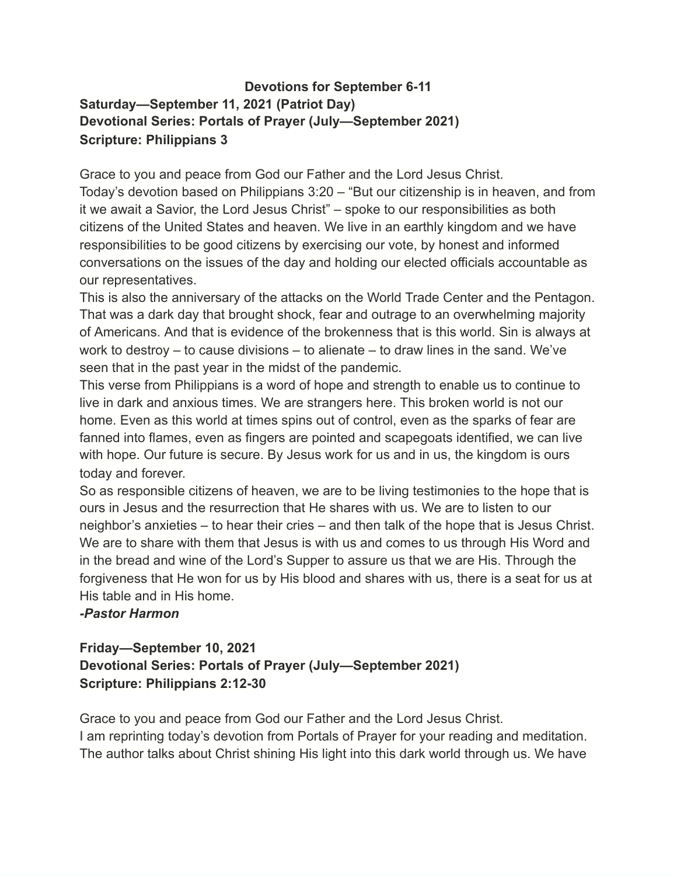### **Devotions for September 6-11 Saturday—September 11, 2021 (Patriot Day) Devotional Series: Portals of Prayer (July—September 2021) Scripture: Philippians 3**

Grace to you and peace from God our Father and the Lord Jesus Christ. Today's devotion based on Philippians 3:20 – "But our citizenship is in heaven, and from it we await a Savior, the Lord Jesus Christ" – spoke to our responsibilities as both citizens of the United States and heaven. We live in an earthly kingdom and we have responsibilities to be good citizens by exercising our vote, by honest and informed conversations on the issues of the day and holding our elected officials accountable as our representatives.

This is also the anniversary of the attacks on the World Trade Center and the Pentagon. That was a dark day that brought shock, fear and outrage to an overwhelming majority of Americans. And that is evidence of the brokenness that is this world. Sin is always at work to destroy – to cause divisions – to alienate – to draw lines in the sand. We've seen that in the past year in the midst of the pandemic.

This verse from Philippians is a word of hope and strength to enable us to continue to live in dark and anxious times. We are strangers here. This broken world is not our home. Even as this world at times spins out of control, even as the sparks of fear are fanned into flames, even as fingers are pointed and scapegoats identified, we can live with hope. Our future is secure. By Jesus work for us and in us, the kingdom is ours today and forever.

So as responsible citizens of heaven, we are to be living testimonies to the hope that is ours in Jesus and the resurrection that He shares with us. We are to listen to our neighbor's anxieties – to hear their cries – and then talk of the hope that is Jesus Christ. We are to share with them that Jesus is with us and comes to us through His Word and in the bread and wine of the Lord's Supper to assure us that we are His. Through the forgiveness that He won for us by His blood and shares with us, there is a seat for us at His table and in His home.

#### *-Pastor Harmon*

# **Friday—September 10, 2021 Devotional Series: Portals of Prayer (July—September 2021) Scripture: Philippians 2:12-30**

Grace to you and peace from God our Father and the Lord Jesus Christ. I am reprinting today's devotion from Portals of Prayer for your reading and meditation. The author talks about Christ shining His light into this dark world through us. We have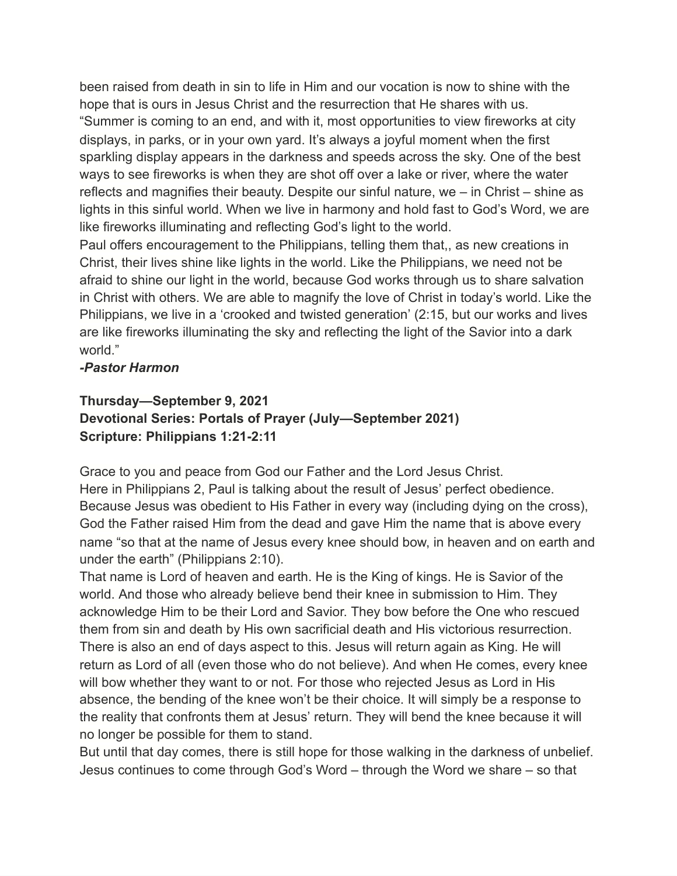been raised from death in sin to life in Him and our vocation is now to shine with the hope that is ours in Jesus Christ and the resurrection that He shares with us. "Summer is coming to an end, and with it, most opportunities to view fireworks at city displays, in parks, or in your own yard. It's always a joyful moment when the first sparkling display appears in the darkness and speeds across the sky. One of the best ways to see fireworks is when they are shot off over a lake or river, where the water reflects and magnifies their beauty. Despite our sinful nature, we – in Christ – shine as lights in this sinful world. When we live in harmony and hold fast to God's Word, we are like fireworks illuminating and reflecting God's light to the world.

Paul offers encouragement to the Philippians, telling them that,, as new creations in Christ, their lives shine like lights in the world. Like the Philippians, we need not be afraid to shine our light in the world, because God works through us to share salvation in Christ with others. We are able to magnify the love of Christ in today's world. Like the Philippians, we live in a 'crooked and twisted generation' (2:15, but our works and lives are like fireworks illuminating the sky and reflecting the light of the Savior into a dark world."

#### *-Pastor Harmon*

# **Thursday—September 9, 2021 Devotional Series: Portals of Prayer (July—September 2021) Scripture: Philippians 1:21-2:11**

Grace to you and peace from God our Father and the Lord Jesus Christ. Here in Philippians 2, Paul is talking about the result of Jesus' perfect obedience. Because Jesus was obedient to His Father in every way (including dying on the cross), God the Father raised Him from the dead and gave Him the name that is above every name "so that at the name of Jesus every knee should bow, in heaven and on earth and under the earth" (Philippians 2:10).

That name is Lord of heaven and earth. He is the King of kings. He is Savior of the world. And those who already believe bend their knee in submission to Him. They acknowledge Him to be their Lord and Savior. They bow before the One who rescued them from sin and death by His own sacrificial death and His victorious resurrection. There is also an end of days aspect to this. Jesus will return again as King. He will return as Lord of all (even those who do not believe). And when He comes, every knee will bow whether they want to or not. For those who rejected Jesus as Lord in His absence, the bending of the knee won't be their choice. It will simply be a response to the reality that confronts them at Jesus' return. They will bend the knee because it will no longer be possible for them to stand.

But until that day comes, there is still hope for those walking in the darkness of unbelief. Jesus continues to come through God's Word – through the Word we share – so that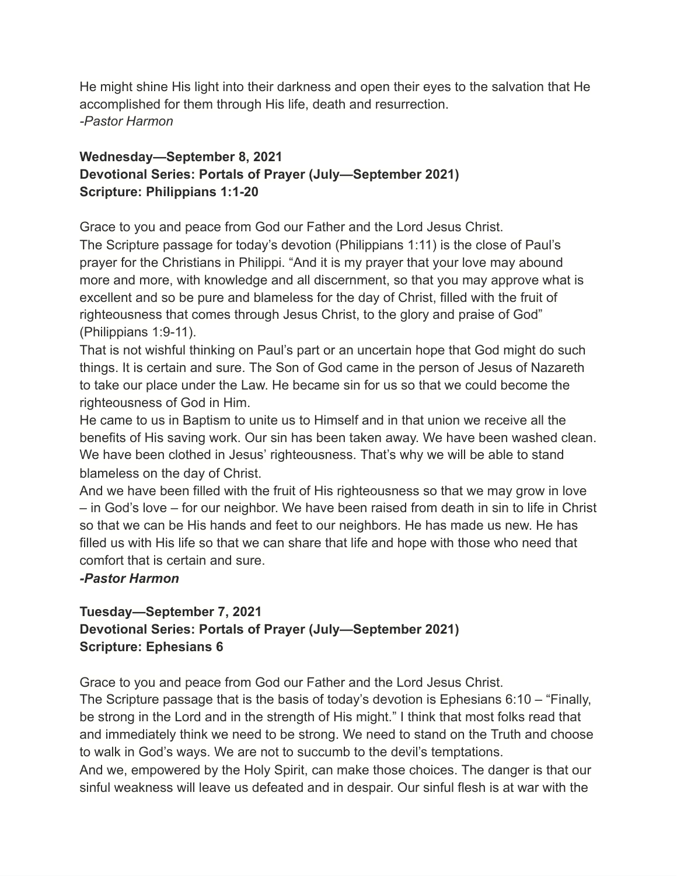He might shine His light into their darkness and open their eyes to the salvation that He accomplished for them through His life, death and resurrection. *-Pastor Harmon*

## **Wednesday—September 8, 2021 Devotional Series: Portals of Prayer (July—September 2021) Scripture: Philippians 1:1-20**

Grace to you and peace from God our Father and the Lord Jesus Christ.

The Scripture passage for today's devotion (Philippians 1:11) is the close of Paul's prayer for the Christians in Philippi. "And it is my prayer that your love may abound more and more, with knowledge and all discernment, so that you may approve what is excellent and so be pure and blameless for the day of Christ, filled with the fruit of righteousness that comes through Jesus Christ, to the glory and praise of God" (Philippians 1:9-11).

That is not wishful thinking on Paul's part or an uncertain hope that God might do such things. It is certain and sure. The Son of God came in the person of Jesus of Nazareth to take our place under the Law. He became sin for us so that we could become the righteousness of God in Him.

He came to us in Baptism to unite us to Himself and in that union we receive all the benefits of His saving work. Our sin has been taken away. We have been washed clean. We have been clothed in Jesus' righteousness. That's why we will be able to stand blameless on the day of Christ.

And we have been filled with the fruit of His righteousness so that we may grow in love – in God's love – for our neighbor. We have been raised from death in sin to life in Christ so that we can be His hands and feet to our neighbors. He has made us new. He has filled us with His life so that we can share that life and hope with those who need that comfort that is certain and sure.

#### *-Pastor Harmon*

## **Tuesday—September 7, 2021 Devotional Series: Portals of Prayer (July—September 2021) Scripture: Ephesians 6**

Grace to you and peace from God our Father and the Lord Jesus Christ.

The Scripture passage that is the basis of today's devotion is Ephesians 6:10 – "Finally, be strong in the Lord and in the strength of His might." I think that most folks read that and immediately think we need to be strong. We need to stand on the Truth and choose to walk in God's ways. We are not to succumb to the devil's temptations.

And we, empowered by the Holy Spirit, can make those choices. The danger is that our sinful weakness will leave us defeated and in despair. Our sinful flesh is at war with the